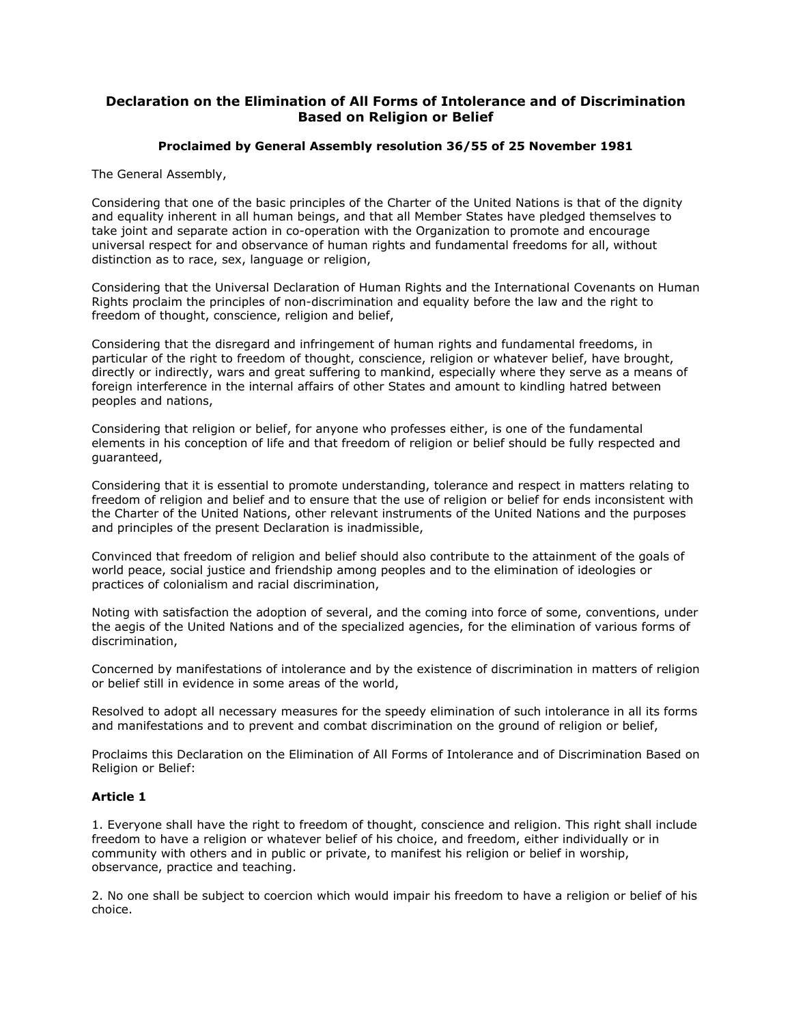# **Declaration on the Elimination of All Forms of Intolerance and of Discrimination Based on Religion or Belief**

## **Proclaimed by General Assembly resolution 36/55 of 25 November 1981**

The General Assembly,

Considering that one of the basic principles of the Charter of the United Nations is that of the dignity and equality inherent in all human beings, and that all Member States have pledged themselves to take joint and separate action in co-operation with the Organization to promote and encourage universal respect for and observance of human rights and fundamental freedoms for all, without distinction as to race, sex, language or religion,

Considering that the Universal Declaration of Human Rights and the International Covenants on Human Rights proclaim the principles of non-discrimination and equality before the law and the right to freedom of thought, conscience, religion and belief,

Considering that the disregard and infringement of human rights and fundamental freedoms, in particular of the right to freedom of thought, conscience, religion or whatever belief, have brought, directly or indirectly, wars and great suffering to mankind, especially where they serve as a means of foreign interference in the internal affairs of other States and amount to kindling hatred between peoples and nations,

Considering that religion or belief, for anyone who professes either, is one of the fundamental elements in his conception of life and that freedom of religion or belief should be fully respected and guaranteed,

Considering that it is essential to promote understanding, tolerance and respect in matters relating to freedom of religion and belief and to ensure that the use of religion or belief for ends inconsistent with the Charter of the United Nations, other relevant instruments of the United Nations and the purposes and principles of the present Declaration is inadmissible,

Convinced that freedom of religion and belief should also contribute to the attainment of the goals of world peace, social justice and friendship among peoples and to the elimination of ideologies or practices of colonialism and racial discrimination,

Noting with satisfaction the adoption of several, and the coming into force of some, conventions, under the aegis of the United Nations and of the specialized agencies, for the elimination of various forms of discrimination,

Concerned by manifestations of intolerance and by the existence of discrimination in matters of religion or belief still in evidence in some areas of the world,

Resolved to adopt all necessary measures for the speedy elimination of such intolerance in all its forms and manifestations and to prevent and combat discrimination on the ground of religion or belief,

Proclaims this Declaration on the Elimination of All Forms of Intolerance and of Discrimination Based on Religion or Belief:

### **Article 1**

1. Everyone shall have the right to freedom of thought, conscience and religion. This right shall include freedom to have a religion or whatever belief of his choice, and freedom, either individually or in community with others and in public or private, to manifest his religion or belief in worship, observance, practice and teaching.

2. No one shall be subject to coercion which would impair his freedom to have a religion or belief of his choice.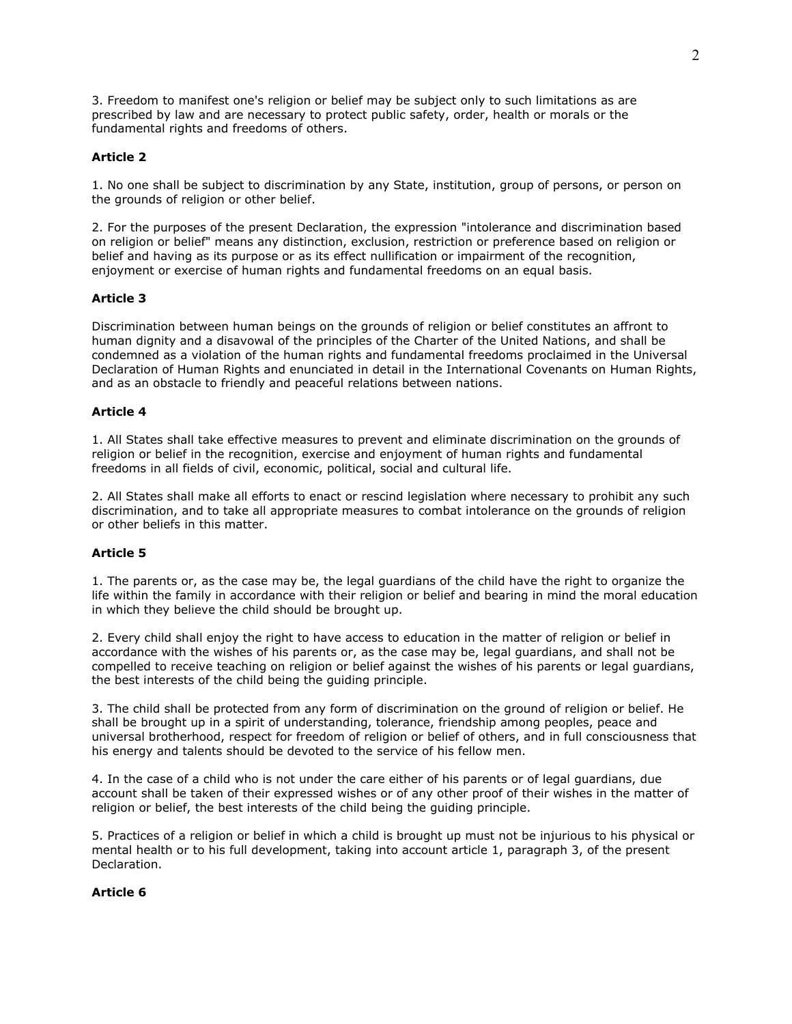3. Freedom to manifest one's religion or belief may be subject only to such limitations as are prescribed by law and are necessary to protect public safety, order, health or morals or the fundamental rights and freedoms of others.

## **Article 2**

1. No one shall be subject to discrimination by any State, institution, group of persons, or person on the grounds of religion or other belief.

2. For the purposes of the present Declaration, the expression "intolerance and discrimination based on religion or belief" means any distinction, exclusion, restriction or preference based on religion or belief and having as its purpose or as its effect nullification or impairment of the recognition, enjoyment or exercise of human rights and fundamental freedoms on an equal basis.

#### **Article 3**

Discrimination between human beings on the grounds of religion or belief constitutes an affront to human dignity and a disavowal of the principles of the Charter of the United Nations, and shall be condemned as a violation of the human rights and fundamental freedoms proclaimed in the Universal Declaration of Human Rights and enunciated in detail in the International Covenants on Human Rights, and as an obstacle to friendly and peaceful relations between nations.

#### **Article 4**

1. All States shall take effective measures to prevent and eliminate discrimination on the grounds of religion or belief in the recognition, exercise and enjoyment of human rights and fundamental freedoms in all fields of civil, economic, political, social and cultural life.

2. All States shall make all efforts to enact or rescind legislation where necessary to prohibit any such discrimination, and to take all appropriate measures to combat intolerance on the grounds of religion or other beliefs in this matter.

#### **Article 5**

1. The parents or, as the case may be, the legal guardians of the child have the right to organize the life within the family in accordance with their religion or belief and bearing in mind the moral education in which they believe the child should be brought up.

2. Every child shall enjoy the right to have access to education in the matter of religion or belief in accordance with the wishes of his parents or, as the case may be, legal guardians, and shall not be compelled to receive teaching on religion or belief against the wishes of his parents or legal guardians, the best interests of the child being the guiding principle.

3. The child shall be protected from any form of discrimination on the ground of religion or belief. He shall be brought up in a spirit of understanding, tolerance, friendship among peoples, peace and universal brotherhood, respect for freedom of religion or belief of others, and in full consciousness that his energy and talents should be devoted to the service of his fellow men.

4. In the case of a child who is not under the care either of his parents or of legal guardians, due account shall be taken of their expressed wishes or of any other proof of their wishes in the matter of religion or belief, the best interests of the child being the guiding principle.

5. Practices of a religion or belief in which a child is brought up must not be injurious to his physical or mental health or to his full development, taking into account article 1, paragraph 3, of the present Declaration.

#### **Article 6**